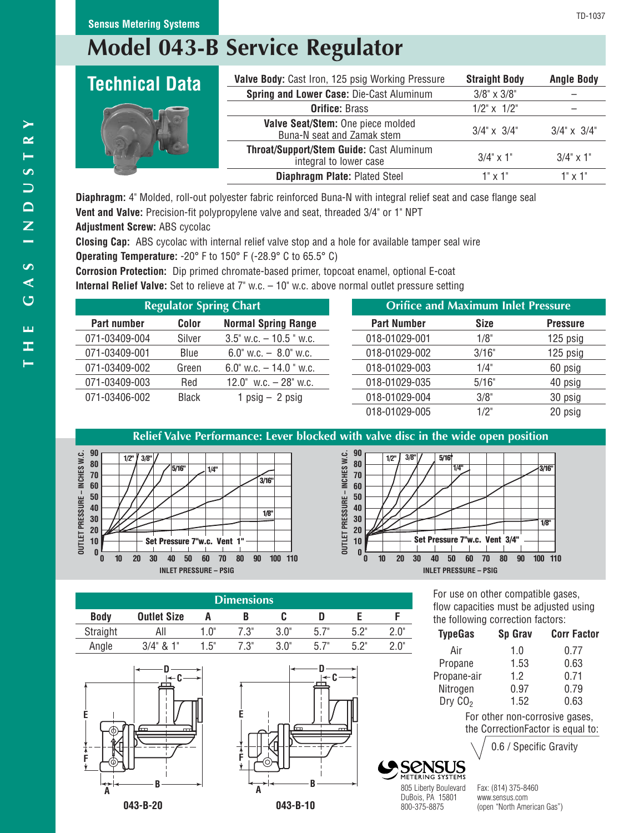# **Model 043-B Service Regulator**

| Valve Body: Cast Iron, 125 psig Working Pressure                   | <b>Straight Body</b>     | <b>Angle Body</b>        |
|--------------------------------------------------------------------|--------------------------|--------------------------|
| Spring and Lower Case: Die-Cast Aluminum                           | $3/8$ " x $3/8$ "        |                          |
| <b>Orifice: Brass</b>                                              | $1/2$ " $\times$ $1/2$ " |                          |
| Valve Seat/Stem: One piece molded<br>Buna-N seat and Zamak stem    | $3/4$ " $\times$ $3/4$ " | $3/4$ " $\times$ $3/4$ " |
| Throat/Support/Stem Guide: Cast Aluminum<br>integral to lower case | $3/4$ " x 1"             | $3/4$ " x 1"             |
| Diaphragm Plate: Plated Steel                                      | 1" x 1"                  | $1" \times 1"$           |
|                                                                    |                          |                          |

**Diaphragm:** 4" Molded, roll-out polyester fabric reinforced Buna-N with integral relief seat and case flange seal **Vent and Valve:** Precision-fit polypropylene valve and seat, threaded 3/4" or 1" NPT

**Adjustment Screw:** ABS cycolac

**Closing Cap:** ABS cycolac with internal relief valve stop and a hole for available tamper seal wire **Operating Temperature:** -20° F to 150° F (-28.9° C to 65.5° C)

**Corrosion Protection:** Dip primed chromate-based primer, topcoat enamel, optional E-coat

**Internal Relief Valve:** Set to relieve at 7" w.c. – 10" w.c. above normal outlet pressure setting

|               | <b>Regulator Spring Chart</b> |                                            |  |                    | <b>Orifice and Maximum Inlet Pressure</b> |                 |
|---------------|-------------------------------|--------------------------------------------|--|--------------------|-------------------------------------------|-----------------|
| Part number   | Color                         | <b>Normal Spring Range</b>                 |  | <b>Part Number</b> | <b>Size</b>                               | <b>Pressure</b> |
| 071-03409-004 | Silver                        | $3.5$ " w.c. $-10.5$ " w.c.                |  | 018-01029-001      | 1/8"                                      | $125$ psig      |
| 071-03409-001 | Blue                          | $6.0^{\circ}$ w.c. $-$ 8.0 $^{\circ}$ w.c. |  | 018-01029-002      | 3/16"                                     | 125 psig        |
| 071-03409-002 | Green                         | 6.0" w.c. $-14.0$ " w.c.                   |  | 018-01029-003      | 1/4"                                      | 60 psig         |
| 071-03409-003 | Red                           | $12.0^{\circ}$ w.c. $-28^{\circ}$ w.c.     |  | 018-01029-035      | 5/16"                                     | 40 psig         |
| 071-03406-002 | <b>Black</b>                  | 1 $psig - 2 psig$                          |  | 018-01029-004      | 3/8"                                      | 30 psig         |
|               |                               |                                            |  | 018-01029-005      | 1/2"                                      | 20 psig         |

## **Relief Valve Performance: Lever blocked with valve disc in the wide open position**





|             | Dimensions         |      |      |             |      |      |  |  |
|-------------|--------------------|------|------|-------------|------|------|--|--|
| <b>Body</b> | <b>Outlet Size</b> |      |      |             |      |      |  |  |
| Straight    | All                | 1.0" | 7.3" | 3.0"        | 5.7" | ら つ" |  |  |
| Angle       | $3/4$ " & 1"       | 1.5" | 7.3" | $3.0^\circ$ | 5.7" | につ"  |  |  |





For use on other compatible gases, flow capacities must be adjusted using the following correction factors:

| <b>TypeGas</b> | Sp Grav               | <b>Corr Factor</b>                |
|----------------|-----------------------|-----------------------------------|
| Air            | 1.0                   | 0.77                              |
| Propane        | 1.53                  | 0.63                              |
| Propane-air    | 1.2                   | 0.71                              |
| Nitrogen       | 0.97                  | 0.79                              |
| Dry $CO2$      | 1.52                  | 0.63                              |
|                |                       | For other non-corrosive gases,    |
|                |                       | the CorrectionFactor is equal to: |
|                | C / Consition Crouthy |                                   |

0.6 / Specific Gravity

805 Liberty Boulevard Fax: (814) 375-8460 DuBois, PA 15801 www.sensus.com<br>800-375-8875 (open "North Ame

(open "North American Gas")